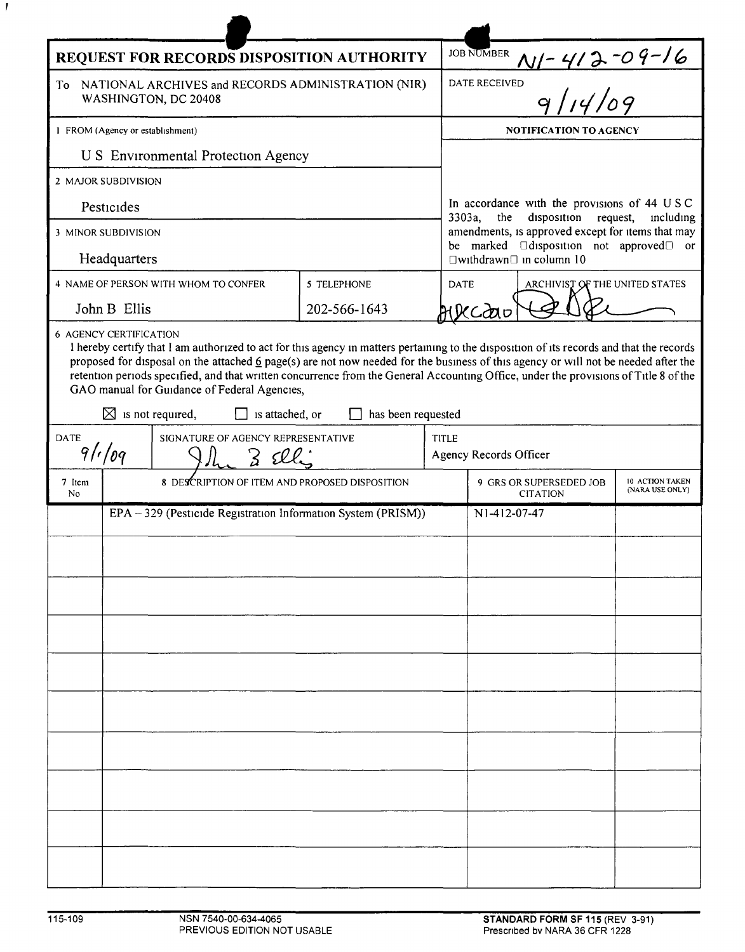| REQUEST FOR RECORDS DISPOSITION AUTHORITY                                                            |                                                               |                                                                                                                                                                                                                                                                                                                                                                                                                                                                         |                    |              | <b>JOB NUMBER</b>                                                                                                                                                                                                                                                |                                    |  |
|------------------------------------------------------------------------------------------------------|---------------------------------------------------------------|-------------------------------------------------------------------------------------------------------------------------------------------------------------------------------------------------------------------------------------------------------------------------------------------------------------------------------------------------------------------------------------------------------------------------------------------------------------------------|--------------------|--------------|------------------------------------------------------------------------------------------------------------------------------------------------------------------------------------------------------------------------------------------------------------------|------------------------------------|--|
| NATIONAL ARCHIVES and RECORDS ADMINISTRATION (NIR)<br>To<br>WASHINGTON, DC 20408                     |                                                               |                                                                                                                                                                                                                                                                                                                                                                                                                                                                         |                    |              | $\frac{N1 - 412 - 09 - 16}{9/14/09}$<br><b>DATE RECEIVED</b>                                                                                                                                                                                                     |                                    |  |
| 1 FROM (Agency or establishment)                                                                     |                                                               |                                                                                                                                                                                                                                                                                                                                                                                                                                                                         |                    |              | <b>NOTIFICATION TO AGENCY</b>                                                                                                                                                                                                                                    |                                    |  |
| <b>U S</b> Environmental Protection Agency                                                           |                                                               |                                                                                                                                                                                                                                                                                                                                                                                                                                                                         |                    |              |                                                                                                                                                                                                                                                                  |                                    |  |
| 2 MAJOR SUBDIVISION                                                                                  |                                                               |                                                                                                                                                                                                                                                                                                                                                                                                                                                                         |                    |              |                                                                                                                                                                                                                                                                  |                                    |  |
| Pesticides                                                                                           |                                                               |                                                                                                                                                                                                                                                                                                                                                                                                                                                                         |                    |              | In accordance with the provisions of 44 USC<br>disposition<br>request,<br>3303a,<br>the<br>including<br>amendments, is approved except for items that may<br>be marked <b>I</b> disposition not approved <sup>I</sup> or<br>$\Box$ withdrawn $\Box$ in column 10 |                                    |  |
| 3 MINOR SUBDIVISION                                                                                  |                                                               |                                                                                                                                                                                                                                                                                                                                                                                                                                                                         |                    |              |                                                                                                                                                                                                                                                                  |                                    |  |
| Headquarters                                                                                         |                                                               |                                                                                                                                                                                                                                                                                                                                                                                                                                                                         |                    |              |                                                                                                                                                                                                                                                                  |                                    |  |
|                                                                                                      |                                                               | 4 NAME OF PERSON WITH WHOM TO CONFER                                                                                                                                                                                                                                                                                                                                                                                                                                    | <b>5 TELEPHONE</b> | <b>DATE</b>  | ARCHIVIST OF THE UNITED STATES                                                                                                                                                                                                                                   |                                    |  |
| John B Ellis                                                                                         |                                                               |                                                                                                                                                                                                                                                                                                                                                                                                                                                                         | 202-566-1643       |              |                                                                                                                                                                                                                                                                  |                                    |  |
|                                                                                                      |                                                               | I hereby certify that I am authorized to act for this agency in matters pertaining to the disposition of its records and that the records<br>proposed for disposal on the attached 6 page(s) are not now needed for the business of this agency or will not be needed after the<br>retention periods specified, and that written concurrence from the General Accounting Office, under the provisions of Title 8 of the<br>GAO manual for Guidance of Federal Agencies, | has been requested |              |                                                                                                                                                                                                                                                                  |                                    |  |
| $\boxtimes$ is not required,<br>is attached, or<br><b>DATE</b><br>SIGNATURE OF AGENCY REPRESENTATIVE |                                                               |                                                                                                                                                                                                                                                                                                                                                                                                                                                                         |                    | <b>TITLE</b> |                                                                                                                                                                                                                                                                  |                                    |  |
| 9/109                                                                                                |                                                               |                                                                                                                                                                                                                                                                                                                                                                                                                                                                         |                    |              | Agency Records Officer                                                                                                                                                                                                                                           |                                    |  |
| 7 Item<br>No                                                                                         | 8 DESCRIPTION OF ITEM AND PROPOSED DISPOSITION                |                                                                                                                                                                                                                                                                                                                                                                                                                                                                         |                    |              | 9 GRS OR SUPERSEDED JOB<br><b>CITATION</b>                                                                                                                                                                                                                       | 10 ACTION TAKEN<br>(NARA USE ONLY) |  |
|                                                                                                      | EPA - 329 (Pesticide Registration Information System (PRISM)) |                                                                                                                                                                                                                                                                                                                                                                                                                                                                         |                    |              | N <sub>1</sub> -4 <sub>12</sub> -07-47                                                                                                                                                                                                                           |                                    |  |
|                                                                                                      |                                                               |                                                                                                                                                                                                                                                                                                                                                                                                                                                                         |                    |              |                                                                                                                                                                                                                                                                  |                                    |  |
|                                                                                                      |                                                               |                                                                                                                                                                                                                                                                                                                                                                                                                                                                         |                    |              |                                                                                                                                                                                                                                                                  |                                    |  |
|                                                                                                      |                                                               |                                                                                                                                                                                                                                                                                                                                                                                                                                                                         |                    |              |                                                                                                                                                                                                                                                                  |                                    |  |
|                                                                                                      |                                                               |                                                                                                                                                                                                                                                                                                                                                                                                                                                                         |                    |              |                                                                                                                                                                                                                                                                  |                                    |  |
|                                                                                                      |                                                               |                                                                                                                                                                                                                                                                                                                                                                                                                                                                         |                    |              |                                                                                                                                                                                                                                                                  |                                    |  |
|                                                                                                      |                                                               |                                                                                                                                                                                                                                                                                                                                                                                                                                                                         |                    |              |                                                                                                                                                                                                                                                                  |                                    |  |
|                                                                                                      |                                                               |                                                                                                                                                                                                                                                                                                                                                                                                                                                                         |                    |              |                                                                                                                                                                                                                                                                  |                                    |  |
|                                                                                                      |                                                               |                                                                                                                                                                                                                                                                                                                                                                                                                                                                         |                    |              |                                                                                                                                                                                                                                                                  |                                    |  |
|                                                                                                      |                                                               |                                                                                                                                                                                                                                                                                                                                                                                                                                                                         |                    |              |                                                                                                                                                                                                                                                                  |                                    |  |
|                                                                                                      |                                                               |                                                                                                                                                                                                                                                                                                                                                                                                                                                                         |                    |              |                                                                                                                                                                                                                                                                  |                                    |  |
|                                                                                                      |                                                               |                                                                                                                                                                                                                                                                                                                                                                                                                                                                         |                    |              |                                                                                                                                                                                                                                                                  |                                    |  |
|                                                                                                      |                                                               |                                                                                                                                                                                                                                                                                                                                                                                                                                                                         |                    |              |                                                                                                                                                                                                                                                                  |                                    |  |
|                                                                                                      |                                                               |                                                                                                                                                                                                                                                                                                                                                                                                                                                                         |                    |              |                                                                                                                                                                                                                                                                  |                                    |  |
|                                                                                                      |                                                               |                                                                                                                                                                                                                                                                                                                                                                                                                                                                         |                    |              |                                                                                                                                                                                                                                                                  |                                    |  |

 $\boldsymbol{J}$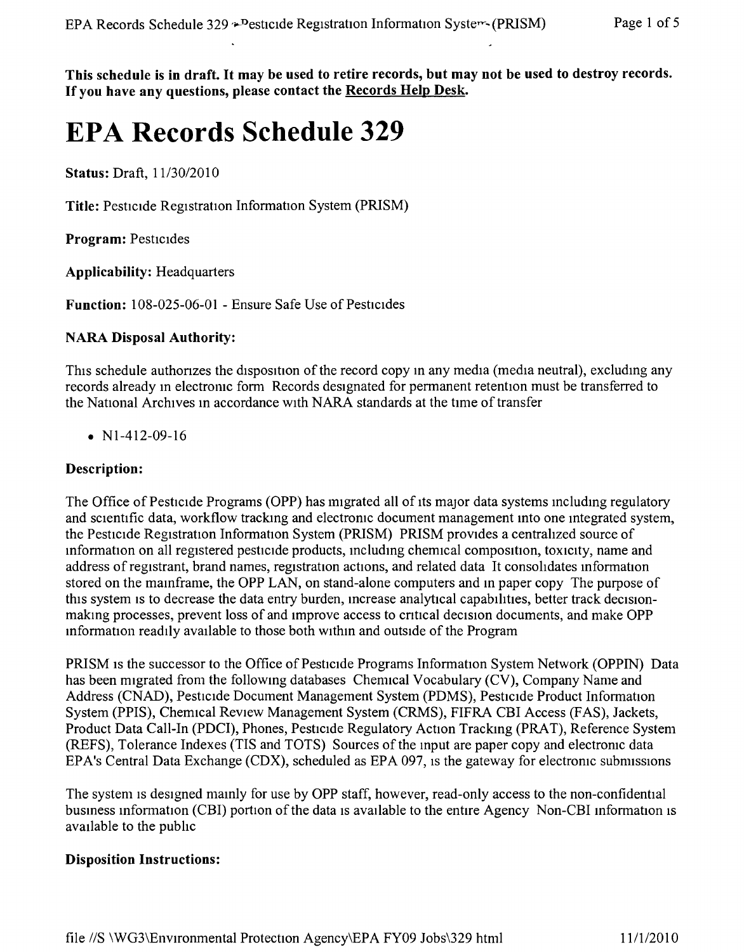This schedule is in draft. It may be used to retire records, but may not be used to destroy records. If you have any questions, please contact the Records Help Desk.

# **EPA Records Schedule 329**

Status: Draft,  $11/30/2010$ 

Title: Pestrcide Registration Information System (PRISM)

Program: Pesticides

Applicability: Headquarters

Function: 108-025-06-01 - Ensure Safe Use of Pesticides

#### NARA Disposal Authority:

This schedule authorizes the disposition of the record copy in any media (media neutral), excluding any records already in electronic form Records designated for permanent retention must be transferred to the National Archives m accordance with NARA standards at the time of transfer

•  $N1-412-09-16$ 

#### Description:

The Office of Pesticide Programs (OPP) has migrated all of its major data systems including regulatory and scientific data, workflow tracking and electronic document management into one integrated system, the Pesticide Registration Information System (PRISM) PRISM provides a centralized source of information on all registered pesticide products, including chemical composition, toxicity, name and address of registrant, brand names, registration actions, and related data It consohdates information stored on the mainframe, the OPP LAN, on stand-alone computers and in paper copy The purpose of this system is to decrease the data entry burden, increase analytical capabilities, better track decisionmaking processes, prevent loss of and improve access to critical decision documents, and make OPP information readily available to those both within and outside of the Program

PRISM is the successor to the Office of Pesticide Programs Information System Network (OPPIN) Data has been migrated from the followmg databases Chemical Vocabulary (CV), Company Name and Address (CNAD), Pesticide Document Management System (PDMS), Pesticide Product Information System (PPIS), Chemical Review Management System (CRMS), FIFRA CBI Access (FAS), Jackets, Product Data Call-In (PDCI), Phones, Pesticide Regulatory Action Tracking (PRAT), Reference System (REFS), Tolerance Indexes (TIS and TOTS) Sources of the Input are paper copy and electronic data EPA's Central Data Exchange (CDX), scheduled as EPA 097, is the gateway for electronic submissions

The system is designed mainly for use by OPP staff, however, read-only access to the non-confidential business information (CBI) portion of the data is available to the entire Agency Non-CBI information is available to the pubhc

#### Disposition Instructions: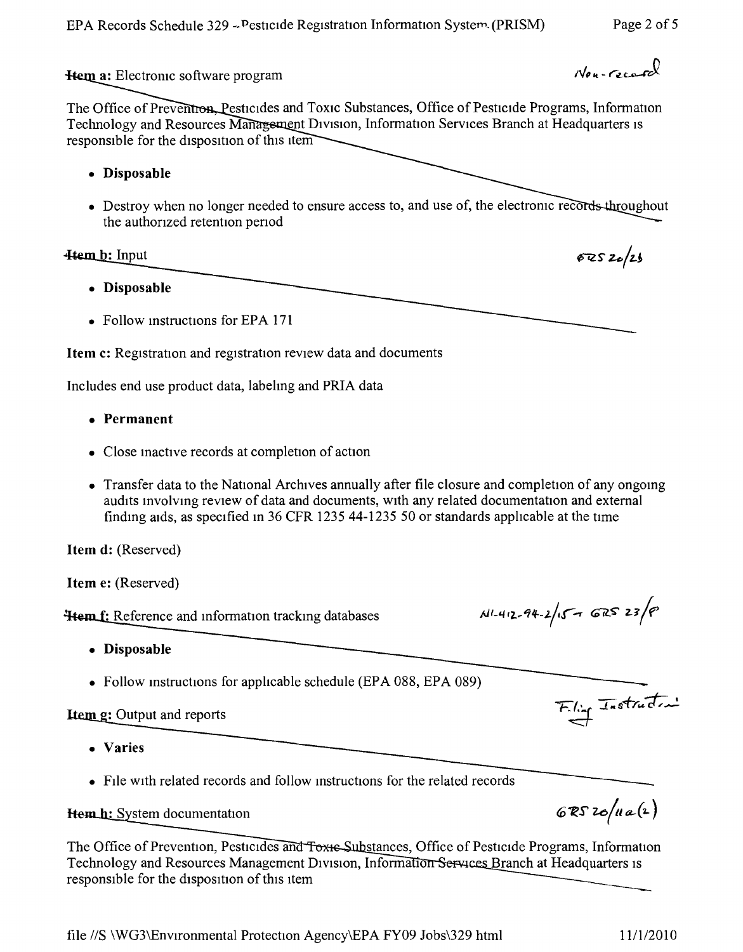EPA Records Schedule 329 - Pesticide Registration Information System (PRISM) Page 2 of 5

Hem a: Electronic software program

 $N_{\text{max}}$ 

 $672520/25$ 

The Office of Preventron, Pesticides and Toxic Substances, Office of Pesticide Programs, Information Technology and Resources Management Division, Information Services Branch at Headquarters is responsible for the disposition of this item

- **• Disposable**
- Destroy when no longer needed to ensure access to, and use of, the electronic recor the authonzed retention penod

## **Item b:** Input

- **• Disposable**
- Follow instructions for EPA 171

**Item** c: Registration and registration review data and documents

Includes end use product data, labelmg and PRIA data

- **• Permanent**
- Close inactive records at completion of action
- Transfer data to the National Archives annually after file closure and completion of any ongoing audits mvolving review of data and documents, WIth any related documentation and external finding aids, as specified In 36 CFR 1235 44-1235 50 or standards applicable at the time

**Item d:** (Reserved)

**Item** e: (Reserved)

**Hem f:** Reference and information tracking databases

- **• Disposable**
- Follow instructions for applicable schedule (EPA 088, EPA 089)

# **Item g:** Output and reports

- **• Varies**
- File with related records and follow instructions for the related records

## Hem.h: System documentation

The Office of Prevention, Pesticides and Toxis Substances, Office of Pesticide Programs, Information Technology and Resources Management Division, Information Services Branch at Headquarters is responsible for the disposition of this item

 $N1 - 412 - 94 - 2/15 - GRS$  23/8

Filing Instruction

 $6RS$  20/11a(2)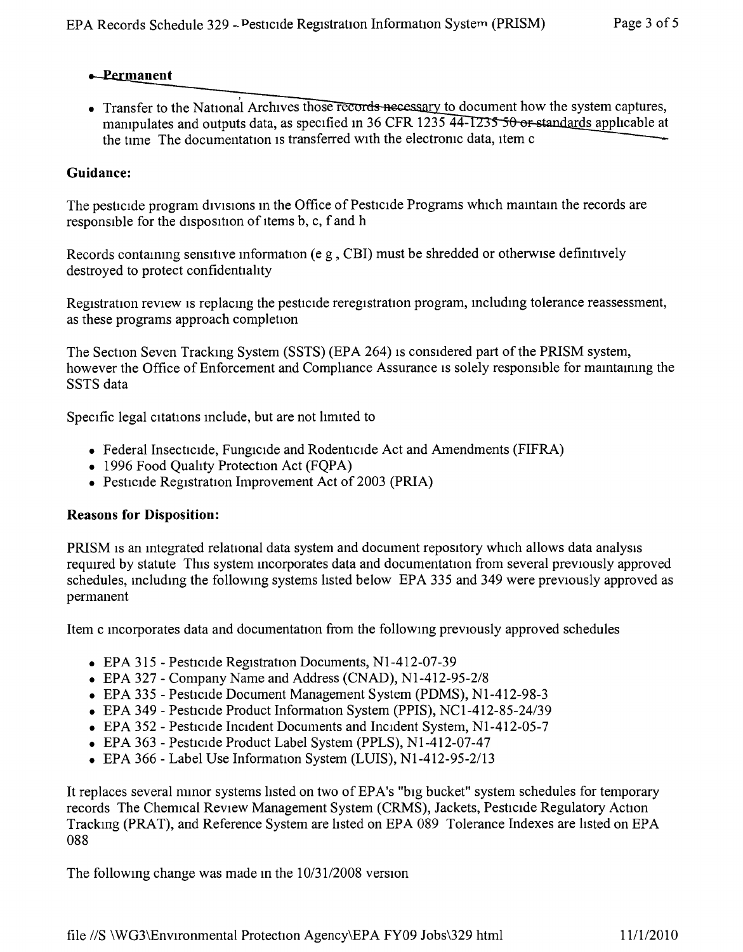## **a**-Permanent

• Transfer to the National Archives those records necessary to document how the system captures, manipulates and outputs data, as specified in 36 CFR 1235  $\overline{44-1235}$  50 or standards applicable at the time The documentation is transferred with the electronic data, item c

# **Guidance:**

The pesticide program divisions in the Office of Pesticide Programs which maintain the records are responsible for the disposition of items b, c, f and h

Records containing sensitive information (e g, CBI) must be shredded or otherwise definitively destroyed to protect confidentiality

Registration review is replacing the pesticide reregistration program, including tolerance reassessment, as these programs approach completion

The Section Seven Tracking System (SSTS) (EPA 264) IS considered part of the PRISM system, however the Office of Enforcement and Compliance Assurance is solely responsible for maintaining the SSTS data

Specific legal citations include, but are not limited to

- Federal Insecticide, Fungicide and Rodenticide Act and Amendments (FIFRA)
- 1996 Food Quality Protection Act (FQPA)
- Pesticide Registration Improvement Act of 2003 (PRIA)

#### **Reasons for Disposition:**

PRISM is an integrated relational data system and document repository which allows data analysis required by statute This system incorporates data and documentation from several previously approved schedules, mcludmg the following systems hsted below EPA 335 and 349 were previously approved as permanent

Item c Incorporates data and documentanon from the following previously approved schedules

- EPA 315 Pesticide Registration Documents, N1-412-07-39
- • EPA 327 Company Name and Address (CNAD), *NI-412-95-2/8*
- EPA 335 Pesticide Document Management System (PDMS), N1-412-98-3
- • EPA 349 Pesticide Product Information System (PPIS), *NCI-412-85-24/39*
- EPA 352 Pesticide Incident Documents and Incident System, N1-412-05-7
- • EPA 363 Pesticide Product Label System (PPLS), NI-412-07-47
- • EPA 366 Label Use Information System (LUIS), *NI-412-95-2/13*

It replaces several nunor systems listed on two of EPA's "big bucket" system schedules for temporary records The Chemical Review Management System (CRMS), Jackets, Pesticide Regulatory Action Tracking (PRAT), and Reference System are listed on EPA 089 Tolerance Indexes are listed on EPA 088

The following change was made in the  $10/31/2008$  version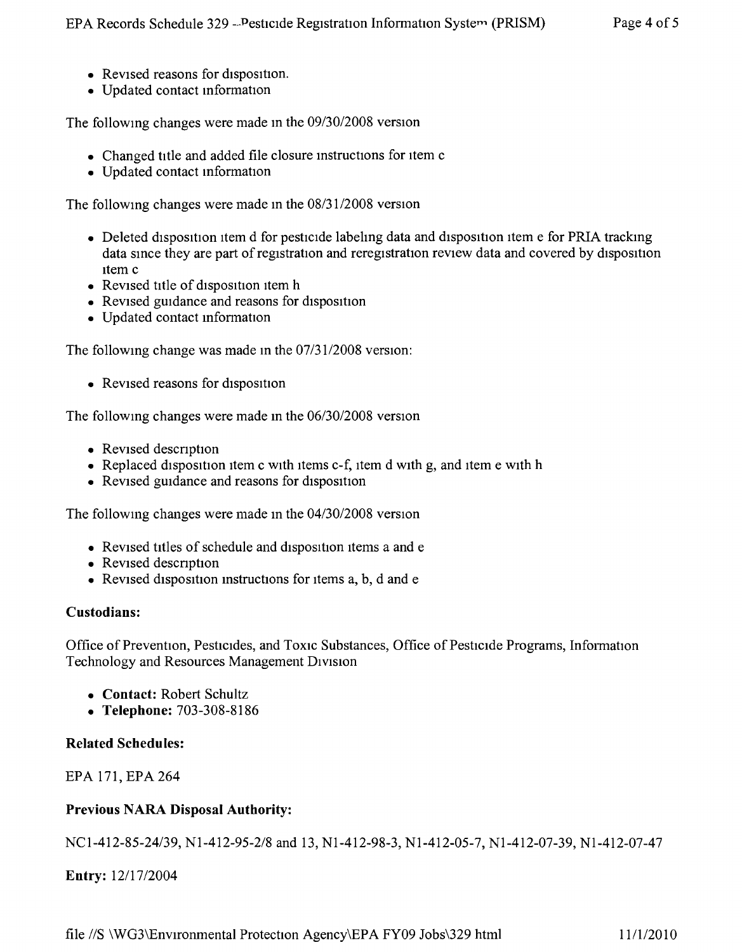- Revised reasons for disposition.
- • Updated contact mformation

The followmg changes were made in the *09/30/2008* version

- Changed title and added file closure instructions for item c
- • Updated contact mformation

The followmg changes were made in the *08/3112008* version

- Deleted disposition item d for pesticide labeling data and disposition item e for PRIA tracking data since they are part of registration and reregistration review data and covered by disposition Item c
- Revised title of disposition item h
- Revised guidance and reasons for disposition
- • Updated contact mformation

The following change was made in the  $07/31/2008$  version:

• Revised reasons for disposition

The followmg changes were made m the *06/30/2008* version

- Revised description
- Replaced disposition item c with items c-f, item d with g, and item e with h
- Revised guidance and reasons for disposition

The followmg changes were made m the *04/30/2008* version

- Revised titles of schedule and disposition items a and e
- Revised description
- Revised disposition instructions for items  $a, b, d$  and  $e$

#### **Custodians:**

Office of Prevention, Pesticides, and Toxic Substances, Office of Pesticide Programs, Information Technology and Resources Management DIVISIon

- **• Contact:** Robert Schultz
- **• Telephone:** 703-308-8186

#### **Related Schedules:**

EPA 171, EPA 264

## **Previous NARA Disposal Authority:**

*NCI-412-85-24/39,* NI-412-95-2/8 and 13, NI-412-98-3, NI-412-05-7, NI-412-07-39, NI-412-07-47

**Entry:** *12117/2004*